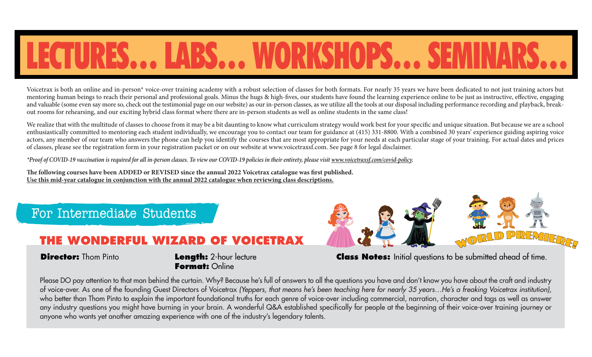## LECTURES… LABS… WORKSHOPS… SEMINARS…

Voicetrax is both an online and in-person\* voice-over training academy with a robust selection of classes for both formats. For nearly 35 years we have been dedicated to not just training actors but mentoring human beings to reach their personal and professional goals. Minus the hugs & high-fives, our students have found the learning experience online to be just as instructive, effective, engaging and valuable (some even say more so, check out the testimonial page on our website) as our in-person classes, as we utilize all the tools at our disposal including performance recording and playback, breakout rooms for rehearsing, and our exciting hybrid class format where there are in-person students as well as online students in the same class!

We realize that with the multitude of classes to choose from it may be a bit daunting to know what curriculum strategy would work best for your specific and unique situation. But because we are a school enthusiastically committed to mentoring each student individually, we encourage you to contact our team for guidance at (415) 331-8800. With a combined 30 years' experience guiding aspiring voice actors, any member of our team who answers the phone can help you identify the courses that are most appropriate for your needs at each particular stage of your training. For actual dates and prices of classes, please see the registration form in your registration packet or on our website at www.voicetraxsf.com. See page 8 for legal disclaimer.

*\*Proof of COVID-19 vaccination is required for all in-person classes. To view our COVID-19 policies in their entirety, please visit www.voicetraxsf.com/covid-policy.*

The following courses have been ADDED or REVISED since the annual 2022 Voicetrax catalogue was first published. **Use this mid-year catalogue in conjunction with the annual 2022 catalogue when reviewing class descriptions.**

#### For Intermediate Students

#### **THE WONDERFUL WIZARD OF VO**

#### **Director:** Thom Pinto **Length:** 2-hour lecture

**Format:** Online



**Class Notes:** Initial questions to be submitted ahead of time.

Please DO pay attention to that man behind the curtain. Why? Because he's full of answers to all the questions you have and don't know you have about the craft and industry of voice-over. As one of the founding Guest Directors of Voicetrax *(Yeppers, that means he's been teaching here for nearly 35 years…He's a freaking Voicetrax institution)*, who better than Thom Pinto to explain the important foundational truths for each genre of voice-over including commercial, narration, character and tags as well as answer any industry questions you might have burning in your brain. A wonderful Q&A established specifically for people at the beginning of their voice-over training journey or anyone who wants yet another amazing experience with one of the industry's legendary talents.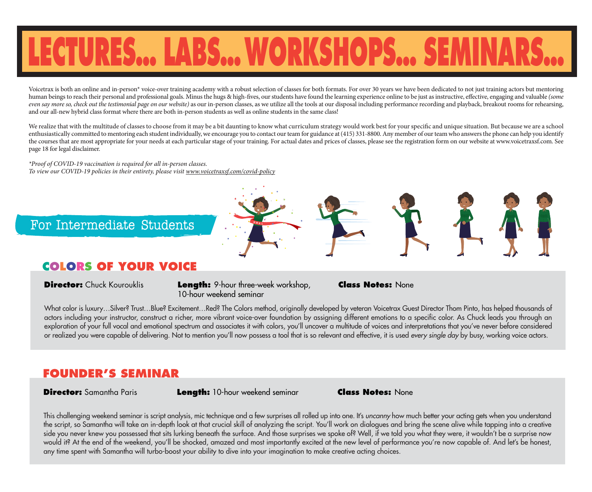# **LECTURES… LABS…WORKSHOPS… SEMINARS…**

Voicetrax is both an online and in-person\* voice-over training academy with a robust selection of classes for both formats. For over 30 years we have been dedicated to not just training actors but mentoring human beings to reach their personal and professional goals. Minus the hugs & high-fives, our students have found the learning experience online to be just as instructive, effective, engaging and valuable *(some*) *even say more so, check out the testimonial page on our website*) as our in-person classes, as we utilize all the tools at our disposal including performance recording and playback, breakout rooms for rehearsing, and our all-new hybrid class format where there are both in-person students as well as online students in the same class!

We realize that with the multitude of classes to choose from it may be a bit daunting to know what curriculum strategy would work best for your specific and unique situation. But because we are a school enthusiastically committed to mentoring each student individually, we encourage you to contact our team for guidance at (415) 331-8800. Any member of our team who answers the phone can help you identify the courses that are most appropriate for your needs at each particular stage of your training. For actual dates and prices of classes, please see the registration form on our website at www.voicetraxsf.com. See page 18 for legal disclaimer.

*\*Proof of COVID-19 vaccination is required for all in-person classes. To view our COVID-19 policies in their entirety, please visit www.voicetraxsf.com/covid-policy*

For Intermediate Students

### **COLORS OF YOUR VOICE**

**Director:** Chuck Kourouklis **Length:** 9-hour three-week workshop, 10-hour weekend seminar

**Class Notes:** None

What color is luxury…Silver? Trust…Blue? Excitement…Red? The Colors method, originally developed by veteran Voicetrax Guest Director Thom Pinto, has helped thousands of actors including your instructor, construct a richer, more vibrant voice-over foundation by assigning different emotions to a specific color. As Chuck leads you through an exploration of your full vocal and emotional spectrum and associates it with colors, you'll uncover a multitude of voices and interpretations that you've never before considered or realized you were capable of delivering. Not to mention you'll now possess a tool that is so relevant and effective, it is used *every single day* by busy, working voice actors.

### FOUNDER'S SEM

**Director:** Samantha Paris **Length:** 10-hour weekend seminar **Class Notes:** None

This challenging weekend seminar is script analysis, mic technique and a few surprises all rolled up into one. It's *uncanny* how much better your acting gets when you understand the script, so Samantha will take an in-depth look at that crucial skill of analyzing the script. You'll work on dialogues and bring the scene alive while tapping into a creative side you never knew you possessed that sits lurking beneath the surface. And those surprises we spoke of? Well, if we told you what they were, it wouldn't be a surprise now would it? At the end of the weekend, you'll be shocked, amazed and most importantly excited at the new level of performance you're now capable of. And let's be honest, any time spent with Samantha will turbo-boost your ability to dive into your imagination to make creative acting choices.